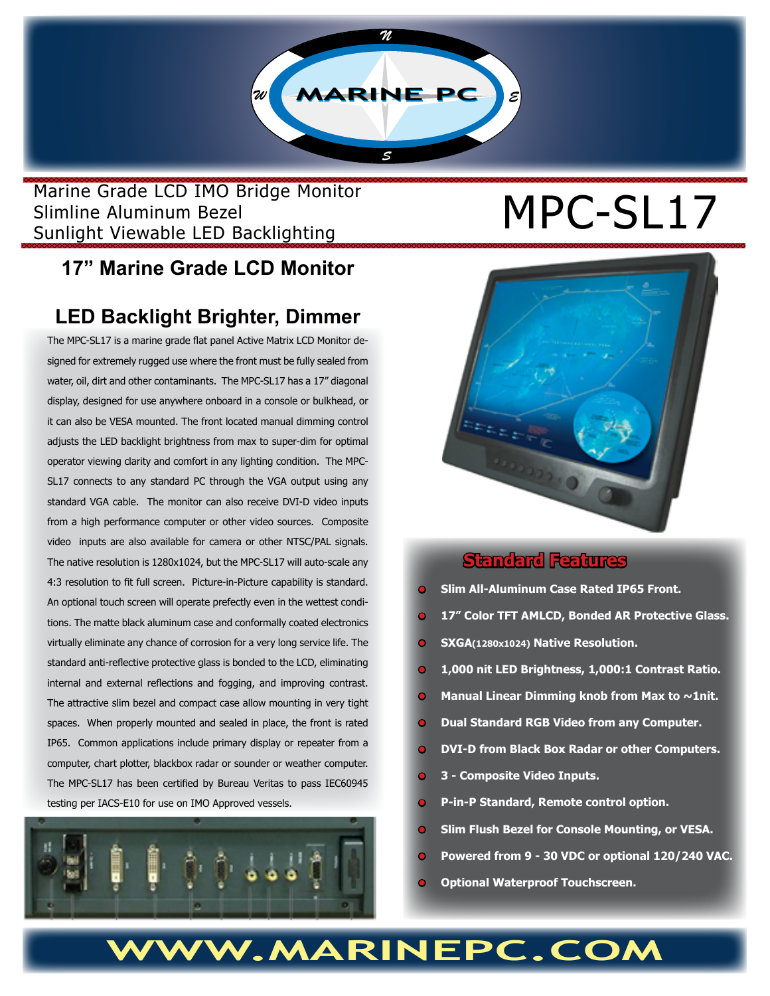Marine Grade LCD IMO Bridge Monitor<br>Slimline Aluminum Bezel<br>Contribution of the Lines Results of the Lines Results of the Lines Results of the Lines Results of the Maria Slimline Aluminum Bezel Sunlight Viewable LED Backlighting

# **17" Marine Grade LCD Monitor**

## **LED Backlight Brighter, Dimmer**

The MPC-SL17 is a marine grade flat panel Active Matrix LCD Monitor designed for extremely rugged use where the front must be fully sealed from water, oil, dirt and other contaminants. The MPC-SL17 has a 17" diagonal display, designed for use anywhere onboard in a console or bulkhead, or it can also be VESA mounted. The front located manual dimming control adjusts the LED backlight brightness from max to super-dim for optimal operator viewing clarity and comfort in any lighting condition. The MPC-SL17 connects to any standard PC through the VGA output using any standard VGA cable. The monitor can also receive DVI-D video inputs from a high performance computer or other video sources. Composite video inputs are also available for camera or other NTSC/PAL signals. The native resolution is 1280x1024, but the MPC-SL17 will auto-scale any 4:3 resolution to fit full screen. Picture-in-Picture capability is standard. An optional touch screen will operate prefectly even in the wettest conditions. The matte black aluminum case and conformally coated electronics virtually eliminate any chance of corrosion for a very long service life. The standard anti-reflective protective glass is bonded to the LCD, eliminating internal and external reflections and fogging, and improving contrast. The attractive slim bezel and compact case allow mounting in very tight spaces. When properly mounted and sealed in place, the front is rated IP65. Common applications include primary display or repeater from a computer, chart plotter, blackbox radar or sounder or weather computer. The MPC-SL17 has been certified by Bureau Veritas to pass IEC60945 testing per IACS-E10 for use on IMO Approved vessels.





#### **Standard Features**

- **• Slim All-Aluminum Case Rated IP65 Front.**
- **• 17" Color TFT AMLCD, Bonded AR Protective Glass.**
- **• SXGA(1280x1024) Native Resolution.**
- **1,000 nit LED Brightness, 1,000:1 Contrast Ratio.**
- **Manual Linear Dimming knob from Max to ~1nit.**
- **• Dual Standard RGB Video from any Computer.**
- **• DVI-D from Black Box Radar or other Computers.**
- **• 3 Composite Video Inputs.**
- **• P-in-P Standard, Remote control option.**
- **• Slim Flush Bezel for Console Mounting, or VESA.**
- **• Powered from 9 30 VDC or optional 120/240 VAC.**
- **• Optional Waterproof Touchscreen.**

# **WWW.MARINEPC.COM**

*N*

*S*

 $\mathbb{Z}$  **MARINE PC**  $\mathbb{Z}$